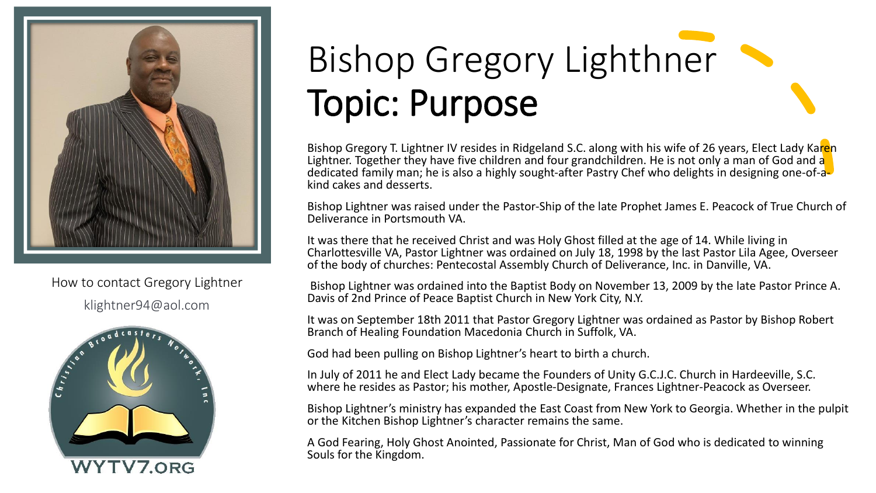

How to contact Gregory Lightner klightner94@aol.com



#### Bishop Gregory Lighthner Topic: Purpose

Bishop Gregory T. Lightner IV resides in Ridgeland S.C. along with his wife of 26 years, Elect Lady Karen Lightner. Together they have five children and four grandchildren. He is not only a man of God and a dedicated family man; he is also a highly sought-after Pastry Chef who delights in designing one-of-akind cakes and desserts.

Bishop Lightner was raised under the Pastor-Ship of the late Prophet James E. Peacock of True Church of Deliverance in Portsmouth VA.

It was there that he received Christ and was Holy Ghost filled at the age of 14. While living in Charlottesville VA, Pastor Lightner was ordained on July 18, 1998 by the last Pastor Lila Agee, Overseer of the body of churches: Pentecostal Assembly Church of Deliverance, Inc. in Danville, VA.

Bishop Lightner was ordained into the Baptist Body on November 13, 2009 by the late Pastor Prince A. Davis of 2nd Prince of Peace Baptist Church in New York City, N.Y.

It was on September 18th 2011 that Pastor Gregory Lightner was ordained as Pastor by Bishop Robert Branch of Healing Foundation Macedonia Church in Suffolk, VA.

God had been pulling on Bishop Lightner's heart to birth a church.

In July of 2011 he and Elect Lady became the Founders of Unity G.C.J.C. Church in Hardeeville, S.C. where he resides as Pastor; his mother, Apostle-Designate, Frances Lightner-Peacock as Overseer.

Bishop Lightner's ministry has expanded the East Coast from New York to Georgia. Whether in the pulpit or the Kitchen Bishop Lightner's character remains the same.

A God Fearing, Holy Ghost Anointed, Passionate for Christ, Man of God who is dedicated to winning Souls for the Kingdom.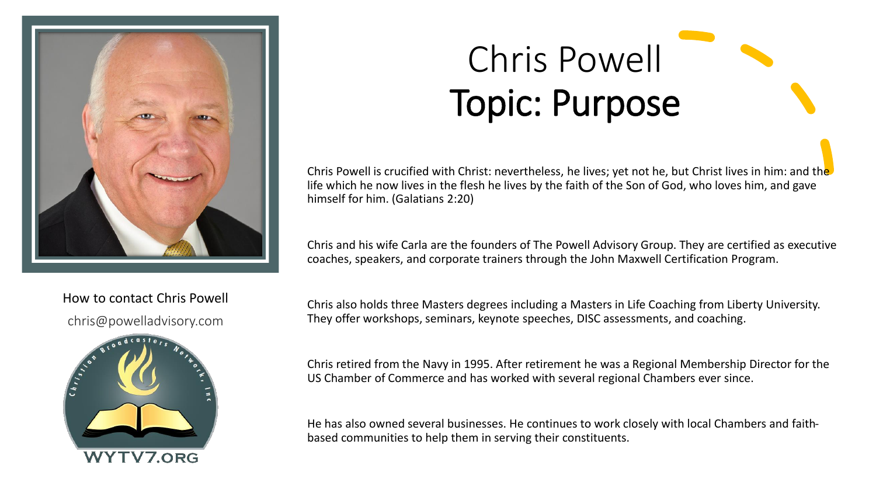

How to contact Chris Powell

chris@powelladvisory.com



## Chris Powell Topic: Purpose

Chris Powell is crucified with Christ: nevertheless, he lives; yet not he, but Christ lives in him: and the life which he now lives in the flesh he lives by the faith of the Son of God, who loves him, and gave himself for him. (Galatians 2:20)

Chris and his wife Carla are the founders of The Powell Advisory Group. They are certified as executive coaches, speakers, and corporate trainers through the John Maxwell Certification Program.

Chris also holds three Masters degrees including a Masters in Life Coaching from Liberty University. They offer workshops, seminars, keynote speeches, DISC assessments, and coaching.

Chris retired from the Navy in 1995. After retirement he was a Regional Membership Director for the US Chamber of Commerce and has worked with several regional Chambers ever since.

He has also owned several businesses. He continues to work closely with local Chambers and faithbased communities to help them in serving their constituents.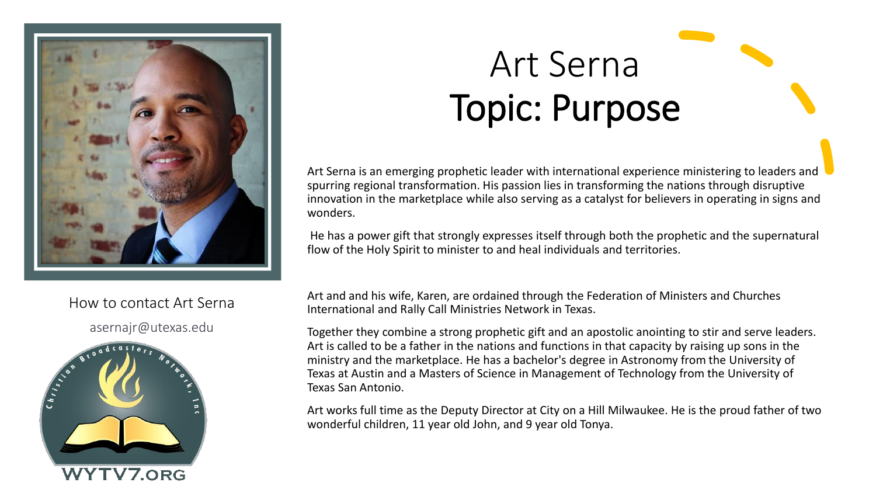

#### How to contact Art Serna

asernajr@utexas.edu



# Art Serna Topic: Purpose

Art Serna is an emerging prophetic leader with international experience ministering to leaders and spurring regional transformation. His passion lies in transforming the nations through disruptive innovation in the marketplace while also serving as a catalyst for believers in operating in signs and wonders.

He has a power gift that strongly expresses itself through both the prophetic and the supernatural flow of the Holy Spirit to minister to and heal individuals and territories.

Art and and his wife, Karen, are ordained through the Federation of Ministers and Churches International and Rally Call Ministries Network in Texas.

Together they combine a strong prophetic gift and an apostolic anointing to stir and serve leaders. Art is called to be a father in the nations and functions in that capacity by raising up sons in the ministry and the marketplace. He has a bachelor's degree in Astronomy from the University of Texas at Austin and a Masters of Science in Management of Technology from the University of Texas San Antonio.

Art works full time as the Deputy Director at City on a Hill Milwaukee. He is the proud father of two wonderful children, 11 year old John, and 9 year old Tonya.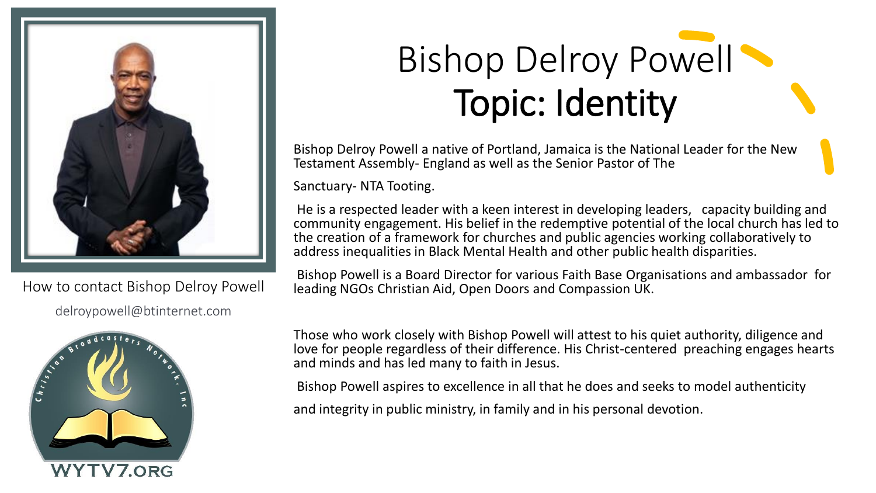

How to contact Bishop Delroy Powell delroypowell@btinternet.com



## Bishop Delroy Powell Topic: Identity

Bishop Delroy Powell a native of Portland, Jamaica is the National Leader for the New Testament Assembly- England as well as the Senior Pastor of The

Sanctuary- NTA Tooting.

He is a respected leader with a keen interest in developing leaders, capacity building and community engagement. His belief in the redemptive potential of the local church has led to the creation of a framework for churches and public agencies working collaboratively to address inequalities in Black Mental Health and other public health disparities.

Bishop Powell is a Board Director for various Faith Base Organisations and ambassador for leading NGOs Christian Aid, Open Doors and Compassion UK.

Those who work closely with Bishop Powell will attest to his quiet authority, diligence and love for people regardless of their difference. His Christ-centered preaching engages hearts and minds and has led many to faith in Jesus.

Bishop Powell aspires to excellence in all that he does and seeks to model authenticity

and integrity in public ministry, in family and in his personal devotion.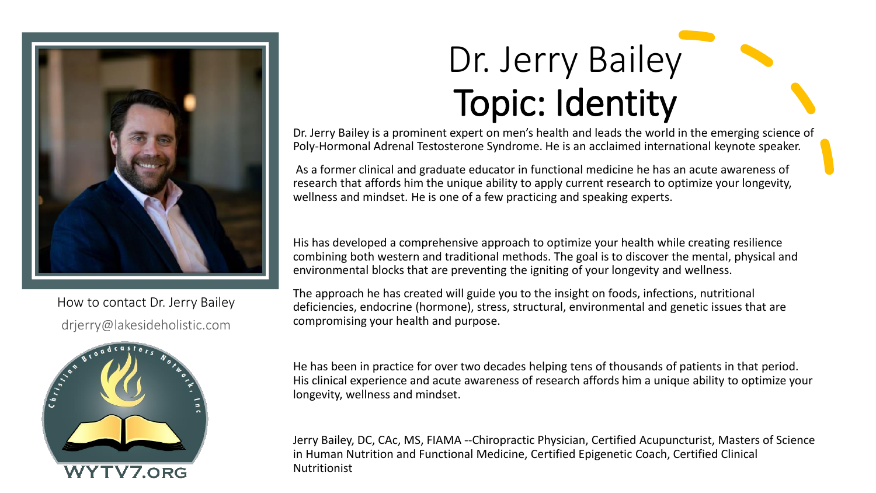

How to contact Dr. Jerry Bailey drjerry@lakesideholistic.com



### Dr. Jerry Bailey Topic: Identity

Dr. Jerry Bailey is a prominent expert on men's health and leads the world in the emerging science of Poly-Hormonal Adrenal Testosterone Syndrome. He is an acclaimed international keynote speaker.

As a former clinical and graduate educator in functional medicine he has an acute awareness of research that affords him the unique ability to apply current research to optimize your longevity, wellness and mindset. He is one of a few practicing and speaking experts.

His has developed a comprehensive approach to optimize your health while creating resilience combining both western and traditional methods. The goal is to discover the mental, physical and environmental blocks that are preventing the igniting of your longevity and wellness.

The approach he has created will guide you to the insight on foods, infections, nutritional deficiencies, endocrine (hormone), stress, structural, environmental and genetic issues that are compromising your health and purpose.

He has been in practice for over two decades helping tens of thousands of patients in that period. His clinical experience and acute awareness of research affords him a unique ability to optimize your longevity, wellness and mindset.

Jerry Bailey, DC, CAc, MS, FIAMA --Chiropractic Physician, Certified Acupuncturist, Masters of Science in Human Nutrition and Functional Medicine, Certified Epigenetic Coach, Certified Clinical Nutritionist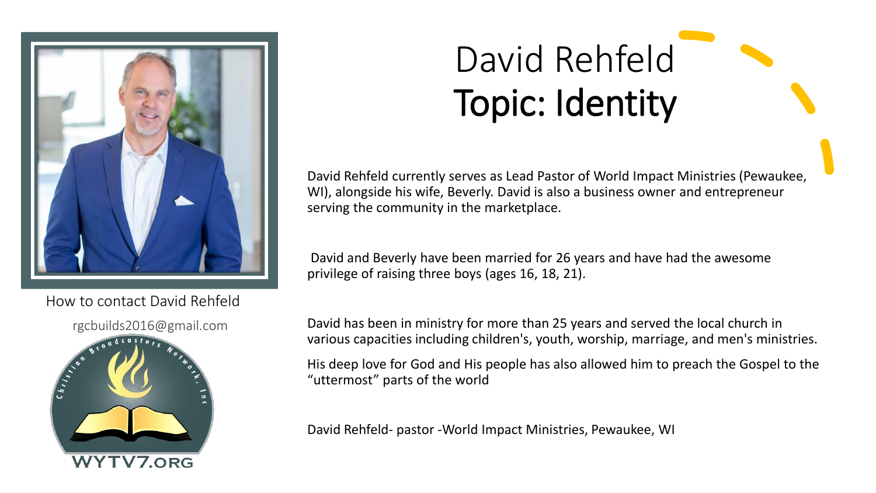

How to contact David Rehfeld



## David Rehfeld Topic: Identity

David Rehfeld currently serves as Lead Pastor of World Impact Ministries (Pewaukee, WI), alongside his wife, Beverly. David is also a business owner and entrepreneur serving the community in the marketplace.

David and Beverly have been married for 26 years and have had the awesome privilege of raising three boys (ages 16, 18, 21).

David has been in ministry for more than 25 years and served the local church in various capacities including children's, youth, worship, marriage, and men's ministries.

His deep love for God and His people has also allowed him to preach the Gospel to the "uttermost" parts of the world

David Rehfeld- pastor -World Impact Ministries, Pewaukee, WI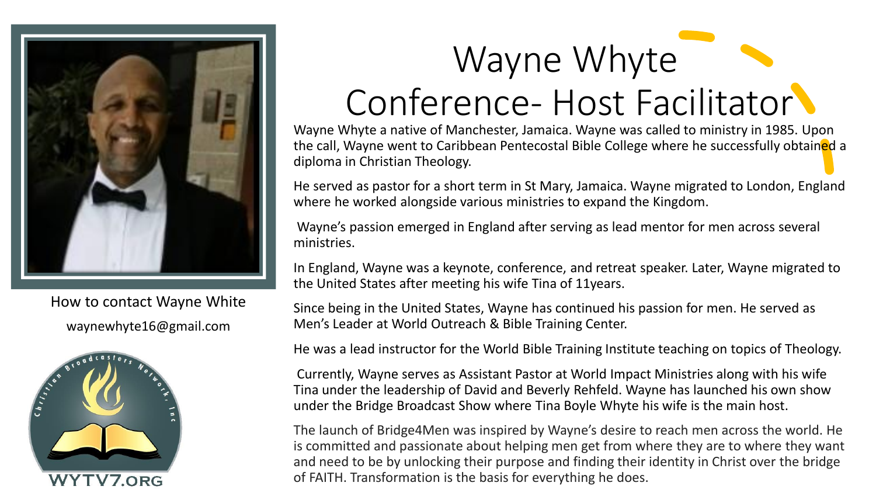

How to contact Wayne White waynewhyte16@gmail.com





#### Conference- Host Facilitator

Wayne Whyte a native of Manchester, Jamaica. Wayne was called to ministry in 1985. Upon the call, Wayne went to Caribbean Pentecostal Bible College where he successfully obtained a diploma in Christian Theology.

He served as pastor for a short term in St Mary, Jamaica. Wayne migrated to London, England where he worked alongside various ministries to expand the Kingdom.

Wayne's passion emerged in England after serving as lead mentor for men across several ministries.

In England, Wayne was a keynote, conference, and retreat speaker. Later, Wayne migrated to the United States after meeting his wife Tina of 11years.

Since being in the United States, Wayne has continued his passion for men. He served as Men's Leader at World Outreach & Bible Training Center.

He was a lead instructor for the World Bible Training Institute teaching on topics of Theology.

Currently, Wayne serves as Assistant Pastor at World Impact Ministries along with his wife Tina under the leadership of David and Beverly Rehfeld. Wayne has launched his own show under the Bridge Broadcast Show where Tina Boyle Whyte his wife is the main host.

The launch of Bridge4Men was inspired by Wayne's desire to reach men across the world. He is committed and passionate about helping men get from where they are to where they want and need to be by unlocking their purpose and finding their identity in Christ over the bridge of FAITH. Transformation is the basis for everything he does.